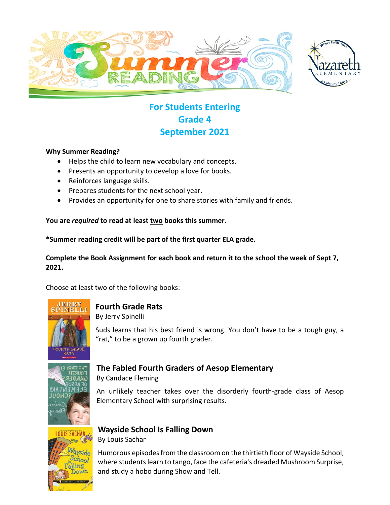



## **For Students Entering Grade 4 September 2021**

#### **Why Summer Reading?**

- Helps the child to learn new vocabulary and concepts.
- Presents an opportunity to develop a love for books.
- Reinforces language skills.
- Prepares students for the next school year.
- Provides an opportunity for one to share stories with family and friends.

#### **You are** *required* **to read at least two books this summer.**

**\*Summer reading credit will be part of the first quarter ELA grade.**

#### **Complete the Book Assignment for each book and return it to the school the week of Sept 7, 2021.**

Choose at least two of the following books:



#### **Fourth Grade Rats**

By Jerry Spinelli

Suds learns that his best friend is wrong. You don't have to be a tough guy, a "rat," to be a grown up fourth grader.



#### **The Fabled Fourth Graders of Aesop Elementary**

By Candace Fleming

An unlikely teacher takes over the disorderly fourth-grade class of Aesop Elementary School with surprising results.

# **Wayside School Is Falling Down**

By Louis Sachar

Humorous episodes from the classroom on the thirtieth floor of Wayside School, where students learn to tango, face the cafeteria's dreaded Mushroom Surprise, and study a hobo during Show and Tell.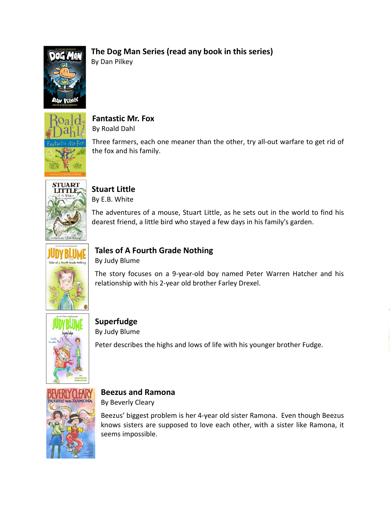#### **The Dog Man Series (read any book in this series)**



By Dan Pilkey



**Fantastic Mr. Fox** By Roald Dahl

Three farmers, each one meaner than the other, try all-out warfare to get rid of the fox and his family.



# **Stuart Little**

By E.B. White

The adventures of a mouse, Stuart Little, as he sets out in the world to find his dearest friend, a little bird who stayed a few days in his family's garden.



## **Tales of A Fourth Grade Nothing**

By Judy Blume

The story focuses on a 9-year-old boy named [Peter Warren Hatcher](http://en.wikipedia.org/wiki/Peter_Warren_Hatcher) and his relationship with his 2-year old brothe[r Farley Drexel.](http://en.wikipedia.org/wiki/Farley_Drexel_%22Fudge%22_Hatcher)



# **Superfudge**

By Judy Blume

Peter describes the highs and lows of life with his younger brother Fudge.



#### **Beezus and Ramona**

By Beverly Cleary

Beezus' biggest problem is her 4-year old sister Ramona. Even though Beezus knows sisters are supposed to love each other, with a sister like Ramona, it seems impossible.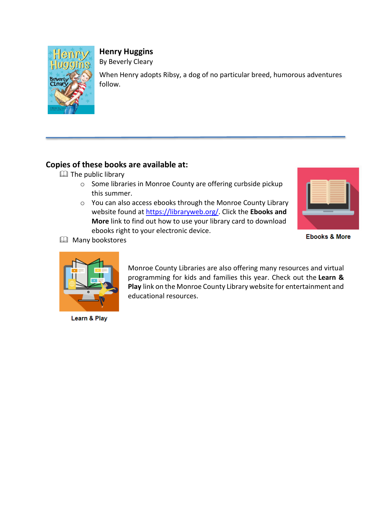

**Henry Huggins**

By Beverly Cleary

When Henry adopts Ribsy, a dog of no particular breed, humorous adventures follow.

#### **Copies of these books are available at:**

- $\Box$  The public library
	- o Some libraries in Monroe County are offering curbside pickup this summer.
	- o You can also access ebooks through the Monroe County Library website found at [https://libraryweb.org/.](https://libraryweb.org/) Click the **Ebooks and More** link to find out how to use your library card to download ebooks right to your electronic device.



**Ebooks & More** 



**E** Many bookstores

Learn & Play

Monroe County Libraries are also offering many resources and virtual programming for kids and families this year. Check out the **Learn & Play** link on the Monroe County Library website for entertainment and educational resources.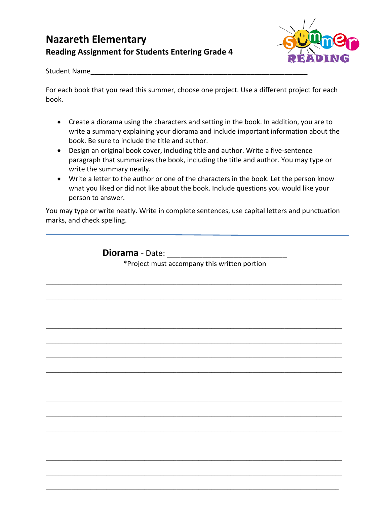### **Nazareth Elementary Reading Assignment for Students Entering Grade 4**



Student Name

For each book that you read this summer, choose one project. Use a different project for each book.

- Create a diorama using the characters and setting in the book. In addition, you are to write a summary explaining your diorama and include important information about the book. Be sure to include the title and author.
- Design an original book cover, including title and author. Write a five-sentence paragraph that summarizes the book, including the title and author. You may type or write the summary neatly.
- Write a letter to the author or one of the characters in the book. Let the person know what you liked or did not like about the book. Include questions you would like your person to answer.

You may type or write neatly. Write in complete sentences, use capital letters and punctuation marks, and check spelling.

**Diorama** - Date:

\*Project must accompany this written portion

 $\mathcal{L}_\mathcal{L} = \{ \mathcal{L}_\mathcal{L} = \{ \mathcal{L}_\mathcal{L} = \{ \mathcal{L}_\mathcal{L} = \{ \mathcal{L}_\mathcal{L} = \{ \mathcal{L}_\mathcal{L} = \{ \mathcal{L}_\mathcal{L} = \{ \mathcal{L}_\mathcal{L} = \{ \mathcal{L}_\mathcal{L} = \{ \mathcal{L}_\mathcal{L} = \{ \mathcal{L}_\mathcal{L} = \{ \mathcal{L}_\mathcal{L} = \{ \mathcal{L}_\mathcal{L} = \{ \mathcal{L}_\mathcal{L} = \{ \mathcal{L}_\mathcal{$ 

 $\mathcal{L}_\mathcal{L} = \mathcal{L}_\mathcal{L} = \mathcal{L}_\mathcal{L} = \mathcal{L}_\mathcal{L} = \mathcal{L}_\mathcal{L} = \mathcal{L}_\mathcal{L} = \mathcal{L}_\mathcal{L} = \mathcal{L}_\mathcal{L} = \mathcal{L}_\mathcal{L} = \mathcal{L}_\mathcal{L} = \mathcal{L}_\mathcal{L} = \mathcal{L}_\mathcal{L} = \mathcal{L}_\mathcal{L} = \mathcal{L}_\mathcal{L} = \mathcal{L}_\mathcal{L} = \mathcal{L}_\mathcal{L} = \mathcal{L}_\mathcal{L}$ 

 $\mathcal{L}_\mathcal{L} = \{ \mathcal{L}_\mathcal{L} = \{ \mathcal{L}_\mathcal{L} = \{ \mathcal{L}_\mathcal{L} = \{ \mathcal{L}_\mathcal{L} = \{ \mathcal{L}_\mathcal{L} = \{ \mathcal{L}_\mathcal{L} = \{ \mathcal{L}_\mathcal{L} = \{ \mathcal{L}_\mathcal{L} = \{ \mathcal{L}_\mathcal{L} = \{ \mathcal{L}_\mathcal{L} = \{ \mathcal{L}_\mathcal{L} = \{ \mathcal{L}_\mathcal{L} = \{ \mathcal{L}_\mathcal{L} = \{ \mathcal{L}_\mathcal{$ 

 $\mathcal{L}_\mathcal{L} = \{ \mathcal{L}_\mathcal{L} = \{ \mathcal{L}_\mathcal{L} = \{ \mathcal{L}_\mathcal{L} = \{ \mathcal{L}_\mathcal{L} = \{ \mathcal{L}_\mathcal{L} = \{ \mathcal{L}_\mathcal{L} = \{ \mathcal{L}_\mathcal{L} = \{ \mathcal{L}_\mathcal{L} = \{ \mathcal{L}_\mathcal{L} = \{ \mathcal{L}_\mathcal{L} = \{ \mathcal{L}_\mathcal{L} = \{ \mathcal{L}_\mathcal{L} = \{ \mathcal{L}_\mathcal{L} = \{ \mathcal{L}_\mathcal{$ 

 $\mathcal{L}_\mathcal{L} = \mathcal{L}_\mathcal{L} = \mathcal{L}_\mathcal{L} = \mathcal{L}_\mathcal{L} = \mathcal{L}_\mathcal{L} = \mathcal{L}_\mathcal{L} = \mathcal{L}_\mathcal{L} = \mathcal{L}_\mathcal{L} = \mathcal{L}_\mathcal{L} = \mathcal{L}_\mathcal{L} = \mathcal{L}_\mathcal{L} = \mathcal{L}_\mathcal{L} = \mathcal{L}_\mathcal{L} = \mathcal{L}_\mathcal{L} = \mathcal{L}_\mathcal{L} = \mathcal{L}_\mathcal{L} = \mathcal{L}_\mathcal{L}$ 

 $\mathcal{L}_\mathcal{L} = \{ \mathcal{L}_\mathcal{L} = \{ \mathcal{L}_\mathcal{L} = \{ \mathcal{L}_\mathcal{L} = \{ \mathcal{L}_\mathcal{L} = \{ \mathcal{L}_\mathcal{L} = \{ \mathcal{L}_\mathcal{L} = \{ \mathcal{L}_\mathcal{L} = \{ \mathcal{L}_\mathcal{L} = \{ \mathcal{L}_\mathcal{L} = \{ \mathcal{L}_\mathcal{L} = \{ \mathcal{L}_\mathcal{L} = \{ \mathcal{L}_\mathcal{L} = \{ \mathcal{L}_\mathcal{L} = \{ \mathcal{L}_\mathcal{$ 

 $\mathcal{L}_\mathcal{L} = \{ \mathcal{L}_\mathcal{L} = \{ \mathcal{L}_\mathcal{L} = \{ \mathcal{L}_\mathcal{L} = \{ \mathcal{L}_\mathcal{L} = \{ \mathcal{L}_\mathcal{L} = \{ \mathcal{L}_\mathcal{L} = \{ \mathcal{L}_\mathcal{L} = \{ \mathcal{L}_\mathcal{L} = \{ \mathcal{L}_\mathcal{L} = \{ \mathcal{L}_\mathcal{L} = \{ \mathcal{L}_\mathcal{L} = \{ \mathcal{L}_\mathcal{L} = \{ \mathcal{L}_\mathcal{L} = \{ \mathcal{L}_\mathcal{$ 

 $\mathcal{L}_\mathcal{L} = \mathcal{L}_\mathcal{L} = \mathcal{L}_\mathcal{L} = \mathcal{L}_\mathcal{L} = \mathcal{L}_\mathcal{L} = \mathcal{L}_\mathcal{L} = \mathcal{L}_\mathcal{L} = \mathcal{L}_\mathcal{L} = \mathcal{L}_\mathcal{L} = \mathcal{L}_\mathcal{L} = \mathcal{L}_\mathcal{L} = \mathcal{L}_\mathcal{L} = \mathcal{L}_\mathcal{L} = \mathcal{L}_\mathcal{L} = \mathcal{L}_\mathcal{L} = \mathcal{L}_\mathcal{L} = \mathcal{L}_\mathcal{L}$ 

 $\mathcal{L}_\mathcal{L} = \{ \mathcal{L}_\mathcal{L} = \{ \mathcal{L}_\mathcal{L} = \{ \mathcal{L}_\mathcal{L} = \{ \mathcal{L}_\mathcal{L} = \{ \mathcal{L}_\mathcal{L} = \{ \mathcal{L}_\mathcal{L} = \{ \mathcal{L}_\mathcal{L} = \{ \mathcal{L}_\mathcal{L} = \{ \mathcal{L}_\mathcal{L} = \{ \mathcal{L}_\mathcal{L} = \{ \mathcal{L}_\mathcal{L} = \{ \mathcal{L}_\mathcal{L} = \{ \mathcal{L}_\mathcal{L} = \{ \mathcal{L}_\mathcal{$ 

 $\mathcal{L}_\mathcal{L} = \{ \mathcal{L}_\mathcal{L} = \{ \mathcal{L}_\mathcal{L} = \{ \mathcal{L}_\mathcal{L} = \{ \mathcal{L}_\mathcal{L} = \{ \mathcal{L}_\mathcal{L} = \{ \mathcal{L}_\mathcal{L} = \{ \mathcal{L}_\mathcal{L} = \{ \mathcal{L}_\mathcal{L} = \{ \mathcal{L}_\mathcal{L} = \{ \mathcal{L}_\mathcal{L} = \{ \mathcal{L}_\mathcal{L} = \{ \mathcal{L}_\mathcal{L} = \{ \mathcal{L}_\mathcal{L} = \{ \mathcal{L}_\mathcal{$ 

 $\mathcal{L}_\mathcal{L} = \mathcal{L}_\mathcal{L} = \mathcal{L}_\mathcal{L} = \mathcal{L}_\mathcal{L} = \mathcal{L}_\mathcal{L} = \mathcal{L}_\mathcal{L} = \mathcal{L}_\mathcal{L} = \mathcal{L}_\mathcal{L} = \mathcal{L}_\mathcal{L} = \mathcal{L}_\mathcal{L} = \mathcal{L}_\mathcal{L} = \mathcal{L}_\mathcal{L} = \mathcal{L}_\mathcal{L} = \mathcal{L}_\mathcal{L} = \mathcal{L}_\mathcal{L} = \mathcal{L}_\mathcal{L} = \mathcal{L}_\mathcal{L}$ 

 $\mathcal{L}_\mathcal{L} = \{ \mathcal{L}_\mathcal{L} = \{ \mathcal{L}_\mathcal{L} = \{ \mathcal{L}_\mathcal{L} = \{ \mathcal{L}_\mathcal{L} = \{ \mathcal{L}_\mathcal{L} = \{ \mathcal{L}_\mathcal{L} = \{ \mathcal{L}_\mathcal{L} = \{ \mathcal{L}_\mathcal{L} = \{ \mathcal{L}_\mathcal{L} = \{ \mathcal{L}_\mathcal{L} = \{ \mathcal{L}_\mathcal{L} = \{ \mathcal{L}_\mathcal{L} = \{ \mathcal{L}_\mathcal{L} = \{ \mathcal{L}_\mathcal{$ 

 $\mathcal{L}_\mathcal{L} = \{ \mathcal{L}_\mathcal{L} = \{ \mathcal{L}_\mathcal{L} = \{ \mathcal{L}_\mathcal{L} = \{ \mathcal{L}_\mathcal{L} = \{ \mathcal{L}_\mathcal{L} = \{ \mathcal{L}_\mathcal{L} = \{ \mathcal{L}_\mathcal{L} = \{ \mathcal{L}_\mathcal{L} = \{ \mathcal{L}_\mathcal{L} = \{ \mathcal{L}_\mathcal{L} = \{ \mathcal{L}_\mathcal{L} = \{ \mathcal{L}_\mathcal{L} = \{ \mathcal{L}_\mathcal{L} = \{ \mathcal{L}_\mathcal{$ 

 $\mathcal{L}_\mathcal{L} = \mathcal{L}_\mathcal{L} = \mathcal{L}_\mathcal{L} = \mathcal{L}_\mathcal{L} = \mathcal{L}_\mathcal{L} = \mathcal{L}_\mathcal{L} = \mathcal{L}_\mathcal{L} = \mathcal{L}_\mathcal{L} = \mathcal{L}_\mathcal{L} = \mathcal{L}_\mathcal{L} = \mathcal{L}_\mathcal{L} = \mathcal{L}_\mathcal{L} = \mathcal{L}_\mathcal{L} = \mathcal{L}_\mathcal{L} = \mathcal{L}_\mathcal{L} = \mathcal{L}_\mathcal{L} = \mathcal{L}_\mathcal{L}$ 

 $\mathcal{L}_\mathcal{L} = \{ \mathcal{L}_\mathcal{L} = \{ \mathcal{L}_\mathcal{L} = \{ \mathcal{L}_\mathcal{L} = \{ \mathcal{L}_\mathcal{L} = \{ \mathcal{L}_\mathcal{L} = \{ \mathcal{L}_\mathcal{L} = \{ \mathcal{L}_\mathcal{L} = \{ \mathcal{L}_\mathcal{L} = \{ \mathcal{L}_\mathcal{L} = \{ \mathcal{L}_\mathcal{L} = \{ \mathcal{L}_\mathcal{L} = \{ \mathcal{L}_\mathcal{L} = \{ \mathcal{L}_\mathcal{L} = \{ \mathcal{L}_\mathcal{$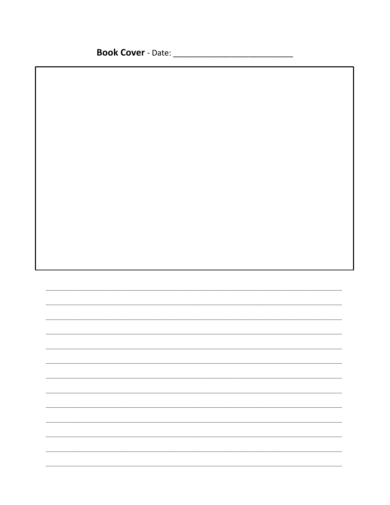<u> 1990 - Johann Barbara, martxa alemani</u>